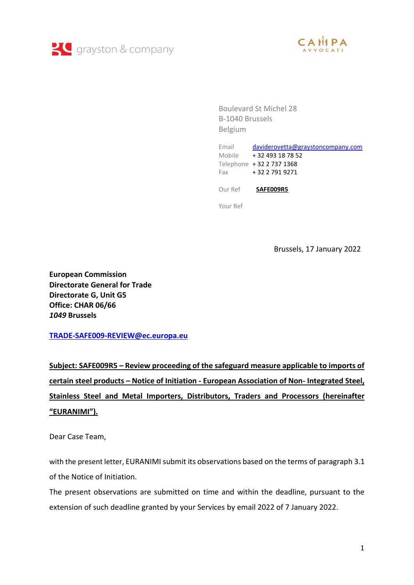



Boulevard St Michel 28 B-1040 Brussels Belgium

Email [daviderovetta@graystoncompany.com](mailto:daviderovetta@graystoncompany.com) Mobile + 32 493 18 78 52 Telephone + 32 2 737 1368 Fax + 32 2 791 9271 Our Ref **SAFE009R5**

Your Ref

Brussels, 17 January 2022

**European Commission Directorate General for Trade Directorate G, Unit G5 Office: CHAR 06/66** *1049* **Brussels**

**[TRADE-SAFE009-REVIEW@ec.europa.eu](mailto:TRADE-SAFE009-REVIEW@ec.europa.eu)**

**Subject: SAFE009R5 – Review proceeding of the safeguard measure applicable to imports of certain steel products – Notice of Initiation - European Association of Non- Integrated Steel, Stainless Steel and Metal Importers, Distributors, Traders and Processors (hereinafter "EURANIMI").**

Dear Case Team,

with the present letter, EURANIMI submit its observations based on the terms of paragraph 3.1 of the Notice of Initiation.

The present observations are submitted on time and within the deadline, pursuant to the extension of such deadline granted by your Services by email 2022 of 7 January 2022.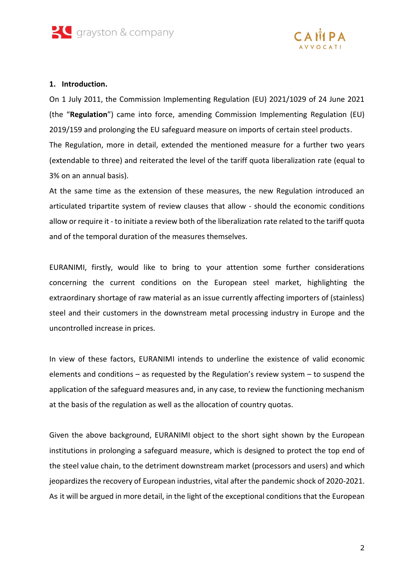



#### **1. Introduction.**

On 1 July 2011, the Commission Implementing Regulation (EU) 2021/1029 of 24 June 2021 (the "**Regulation**") came into force, amending Commission Implementing Regulation (EU) 2019/159 and prolonging the EU safeguard measure on imports of certain steel products. The Regulation, more in detail, extended the mentioned measure for a further two years (extendable to three) and reiterated the level of the tariff quota liberalization rate (equal to 3% on an annual basis).

At the same time as the extension of these measures, the new Regulation introduced an articulated tripartite system of review clauses that allow - should the economic conditions allow or require it - to initiate a review both of the liberalization rate related to the tariff quota and of the temporal duration of the measures themselves.

EURANIMI, firstly, would like to bring to your attention some further considerations concerning the current conditions on the European steel market, highlighting the extraordinary shortage of raw material as an issue currently affecting importers of (stainless) steel and their customers in the downstream metal processing industry in Europe and the uncontrolled increase in prices.

In view of these factors, EURANIMI intends to underline the existence of valid economic elements and conditions – as requested by the Regulation's review system – to suspend the application of the safeguard measures and, in any case, to review the functioning mechanism at the basis of the regulation as well as the allocation of country quotas.

Given the above background, EURANIMI object to the short sight shown by the European institutions in prolonging a safeguard measure, which is designed to protect the top end of the steel value chain, to the detriment downstream market (processors and users) and which jeopardizes the recovery of European industries, vital after the pandemic shock of 2020-2021. As it will be argued in more detail, in the light of the exceptional conditions that the European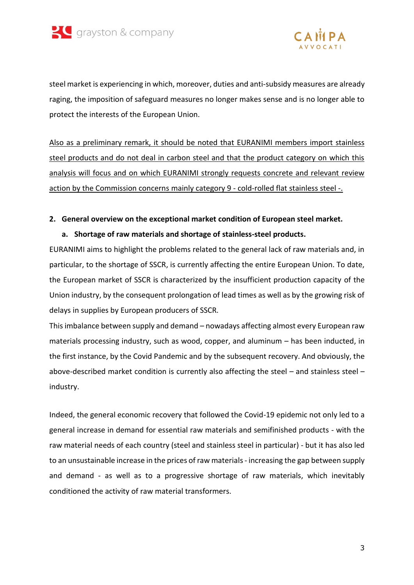



steel market is experiencing in which, moreover, duties and anti-subsidy measures are already raging, the imposition of safeguard measures no longer makes sense and is no longer able to protect the interests of the European Union.

Also as a preliminary remark, it should be noted that EURANIMI members import stainless steel products and do not deal in carbon steel and that the product category on which this analysis will focus and on which EURANIMI strongly requests concrete and relevant review action by the Commission concerns mainly category 9 - cold-rolled flat stainless steel -.

### **2. General overview on the exceptional market condition of European steel market.**

# **a. Shortage of raw materials and shortage of stainless-steel products.**

EURANIMI aims to highlight the problems related to the general lack of raw materials and, in particular, to the shortage of SSCR, is currently affecting the entire European Union. To date, the European market of SSCR is characterized by the insufficient production capacity of the Union industry, by the consequent prolongation of lead times as well as by the growing risk of delays in supplies by European producers of SSCR.

This imbalance between supply and demand – nowadays affecting almost every European raw materials processing industry, such as wood, copper, and aluminum – has been inducted, in the first instance, by the Covid Pandemic and by the subsequent recovery. And obviously, the above-described market condition is currently also affecting the steel – and stainless steel – industry.

Indeed, the general economic recovery that followed the Covid-19 epidemic not only led to a general increase in demand for essential raw materials and semifinished products - with the raw material needs of each country (steel and stainless steel in particular) - but it has also led to an unsustainable increase in the prices of raw materials- increasing the gap between supply and demand - as well as to a progressive shortage of raw materials, which inevitably conditioned the activity of raw material transformers.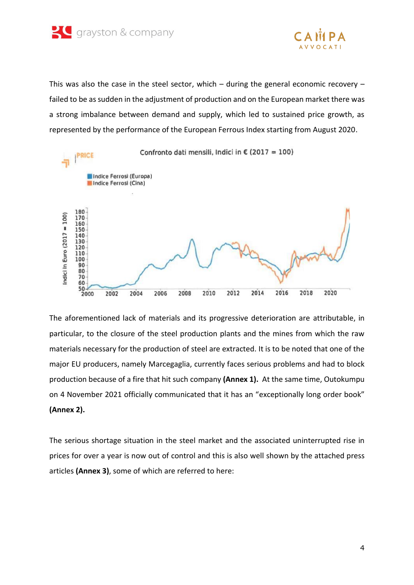



This was also the case in the steel sector, which  $-$  during the general economic recovery  $$ failed to be as sudden in the adjustment of production and on the European market there was a strong imbalance between demand and supply, which led to sustained price growth, as represented by the performance of the European Ferrous Index starting from August 2020.



The aforementioned lack of materials and its progressive deterioration are attributable, in particular, to the closure of the steel production plants and the mines from which the raw materials necessary for the production of steel are extracted. It is to be noted that one of the major EU producers, namely Marcegaglia, currently faces serious problems and had to block production because of a fire that hit such company **(Annex 1).** At the same time, Outokumpu on 4 November 2021 officially communicated that it has an "exceptionally long order book" **(Annex 2).**

The serious shortage situation in the steel market and the associated uninterrupted rise in prices for over a year is now out of control and this is also well shown by the attached press articles **(Annex 3)**, some of which are referred to here: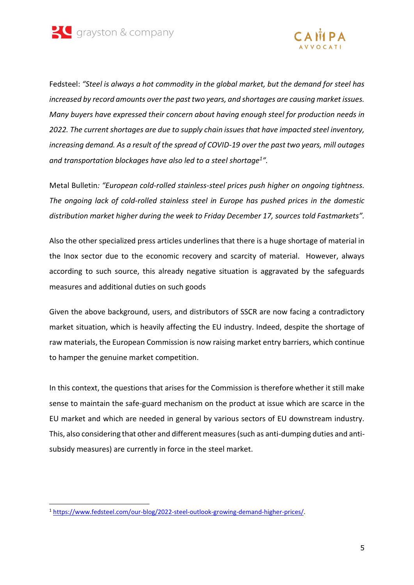



Fedsteel: *"Steel is always a hot commodity in the global market, but the demand for steel has increased by record amounts over the past two years, and shortages are causing market issues. Many buyers have expressed their concern about having enough steel for production needs in 2022. The current shortages are due to supply chain issues that have impacted steel inventory, increasing demand. As a result of the spread of COVID-19 over the past two years, mill outages and transportation blockages have also led to a steel shortage<sup>1</sup> ".*

Metal Bulletin*: "European cold-rolled stainless-steel prices push higher on ongoing tightness. The ongoing lack of cold-rolled stainless steel in Europe has pushed prices in the domestic distribution market higher during the week to Friday December 17, sources told Fastmarkets".*

Also the other specialized press articles underlines that there is a huge shortage of material in the Inox sector due to the economic recovery and scarcity of material. However, always according to such source, this already negative situation is aggravated by the safeguards measures and additional duties on such goods

Given the above background, users, and distributors of SSCR are now facing a contradictory market situation, which is heavily affecting the EU industry. Indeed, despite the shortage of raw materials, the European Commission is now raising market entry barriers, which continue to hamper the genuine market competition.

In this context, the questions that arises for the Commission is therefore whether it still make sense to maintain the safe-guard mechanism on the product at issue which are scarce in the EU market and which are needed in general by various sectors of EU downstream industry. This, also considering that other and different measures (such as anti-dumping duties and antisubsidy measures) are currently in force in the steel market.

<sup>1</sup> [https://www.fedsteel.com/our-blog/2022-steel-outlook-growing-demand-higher-prices/.](https://www.fedsteel.com/our-blog/2022-steel-outlook-growing-demand-higher-prices/)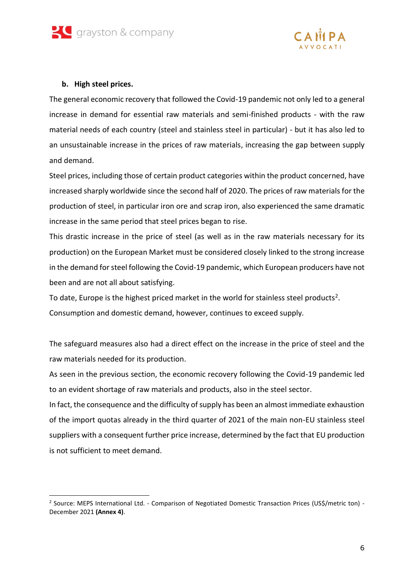



## **b. High steel prices.**

1

The general economic recovery that followed the Covid-19 pandemic not only led to a general increase in demand for essential raw materials and semi-finished products - with the raw material needs of each country (steel and stainless steel in particular) - but it has also led to an unsustainable increase in the prices of raw materials, increasing the gap between supply and demand.

Steel prices, including those of certain product categories within the product concerned, have increased sharply worldwide since the second half of 2020. The prices of raw materials for the production of steel, in particular iron ore and scrap iron, also experienced the same dramatic increase in the same period that steel prices began to rise.

This drastic increase in the price of steel (as well as in the raw materials necessary for its production) on the European Market must be considered closely linked to the strong increase in the demand for steel following the Covid-19 pandemic, which European producers have not been and are not all about satisfying.

To date, Europe is the highest priced market in the world for stainless steel products<sup>2</sup>.

Consumption and domestic demand, however, continues to exceed supply.

The safeguard measures also had a direct effect on the increase in the price of steel and the raw materials needed for its production.

As seen in the previous section, the economic recovery following the Covid-19 pandemic led to an evident shortage of raw materials and products, also in the steel sector.

In fact, the consequence and the difficulty of supply has been an almost immediate exhaustion of the import quotas already in the third quarter of 2021 of the main non-EU stainless steel suppliers with a consequent further price increase, determined by the fact that EU production is not sufficient to meet demand.

<sup>&</sup>lt;sup>2</sup> Source: MEPS International Ltd. - Comparison of Negotiated Domestic Transaction Prices (US\$/metric ton) -December 2021 **(Annex 4)**.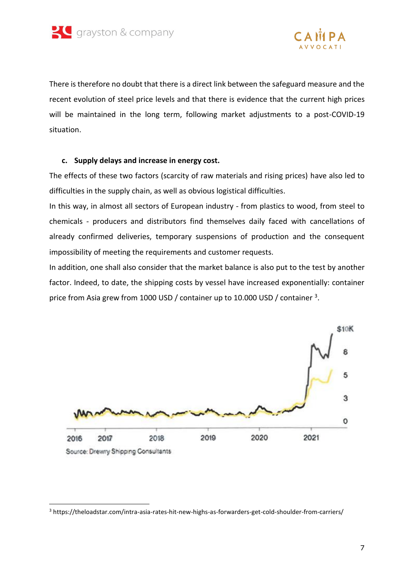



There is therefore no doubt that there is a direct link between the safeguard measure and the recent evolution of steel price levels and that there is evidence that the current high prices will be maintained in the long term, following market adjustments to a post-COVID-19 situation.

#### **c. Supply delays and increase in energy cost.**

The effects of these two factors (scarcity of raw materials and rising prices) have also led to difficulties in the supply chain, as well as obvious logistical difficulties.

In this way, in almost all sectors of European industry - from plastics to wood, from steel to chemicals - producers and distributors find themselves daily faced with cancellations of already confirmed deliveries, temporary suspensions of production and the consequent impossibility of meeting the requirements and customer requests.

In addition, one shall also consider that the market balance is also put to the test by another factor. Indeed, to date, the shipping costs by vessel have increased exponentially: container price from Asia grew from 1000 USD / container up to 10.000 USD / container <sup>3</sup>.



<sup>3</sup> https://theloadstar.com/intra-asia-rates-hit-new-highs-as-forwarders-get-cold-shoulder-from-carriers/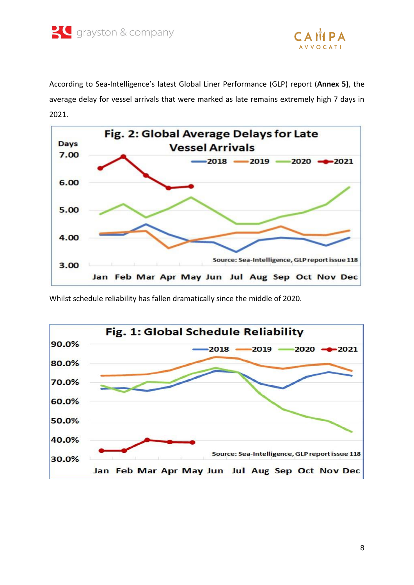



According to Sea-Intelligence's latest Global Liner Performance (GLP) report (**Annex 5)**, the average delay for vessel arrivals that were marked as late remains extremely high 7 days in 2021.



Whilst schedule reliability has fallen dramatically since the middle of 2020.

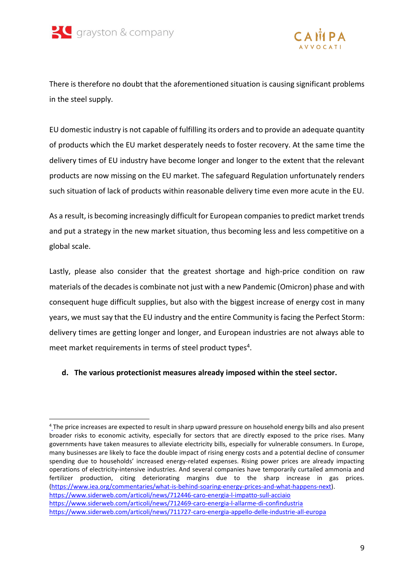

-



There is therefore no doubt that the aforementioned situation is causing significant problems in the steel supply.

EU domestic industry is not capable of fulfilling its orders and to provide an adequate quantity of products which the EU market desperately needs to foster recovery. At the same time the delivery times of EU industry have become longer and longer to the extent that the relevant products are now missing on the EU market. The safeguard Regulation unfortunately renders such situation of lack of products within reasonable delivery time even more acute in the EU.

As a result, is becoming increasingly difficult for European companies to predict market trends and put a strategy in the new market situation, thus becoming less and less competitive on a global scale.

Lastly, please also consider that the greatest shortage and high-price condition on raw materials of the decades is combinate not just with a new Pandemic (Omicron) phase and with consequent huge difficult supplies, but also with the biggest increase of energy cost in many years, we must say that the EU industry and the entire Community is facing the Perfect Storm: delivery times are getting longer and longer, and European industries are not always able to meet market requirements in terms of steel product types<sup>4</sup>.

### **d. The various protectionist measures already imposed within the steel sector.**

<sup>&</sup>lt;sup>4</sup> The price increases are expected to result in sharp upward pressure on household energy bills and also present broader risks to economic activity, especially for sectors that are directly exposed to the price rises. Many governments have taken measures to alleviate electricity bills, especially for vulnerable consumers. In Europe, many businesses are likely to face the double impact of rising energy costs and a potential decline of consumer spending due to households' increased energy-related expenses. Rising power prices are already impacting operations of electricity-intensive industries. And several companies have temporarily curtailed ammonia and fertilizer production, citing deteriorating margins due to the sharp increase in gas prices. [\(https://www.iea.org/commentaries/what-is-behind-soaring-energy-prices-and-what-happens-next\)](https://www.iea.org/commentaries/what-is-behind-soaring-energy-prices-and-what-happens-next). <https://www.siderweb.com/articoli/news/712446-caro-energia-l-impatto-sull-acciaio> <https://www.siderweb.com/articoli/news/712469-caro-energia-l-allarme-di-confindustria> <https://www.siderweb.com/articoli/news/711727-caro-energia-appello-delle-industrie-all-europa>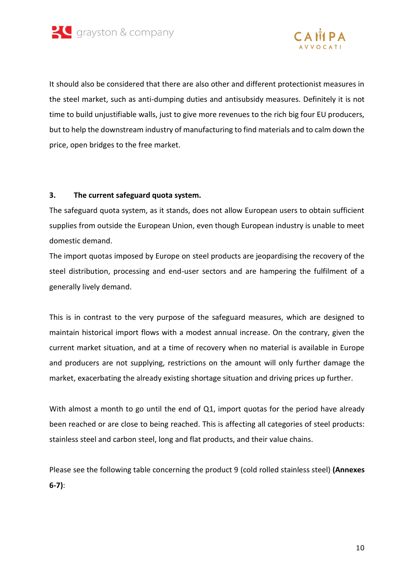



It should also be considered that there are also other and different protectionist measures in the steel market, such as anti-dumping duties and antisubsidy measures. Definitely it is not time to build unjustifiable walls, just to give more revenues to the rich big four EU producers, but to help the downstream industry of manufacturing to find materials and to calm down the price, open bridges to the free market.

### **3. The current safeguard quota system.**

The safeguard quota system, as it stands, does not allow European users to obtain sufficient supplies from outside the European Union, even though European industry is unable to meet domestic demand.

The import quotas imposed by Europe on steel products are jeopardising the recovery of the steel distribution, processing and end-user sectors and are hampering the fulfilment of a generally lively demand.

This is in contrast to the very purpose of the safeguard measures, which are designed to maintain historical import flows with a modest annual increase. On the contrary, given the current market situation, and at a time of recovery when no material is available in Europe and producers are not supplying, restrictions on the amount will only further damage the market, exacerbating the already existing shortage situation and driving prices up further.

With almost a month to go until the end of Q1, import quotas for the period have already been reached or are close to being reached. This is affecting all categories of steel products: stainless steel and carbon steel, long and flat products, and their value chains.

Please see the following table concerning the product 9 (cold rolled stainless steel) **(Annexes 6-7)**: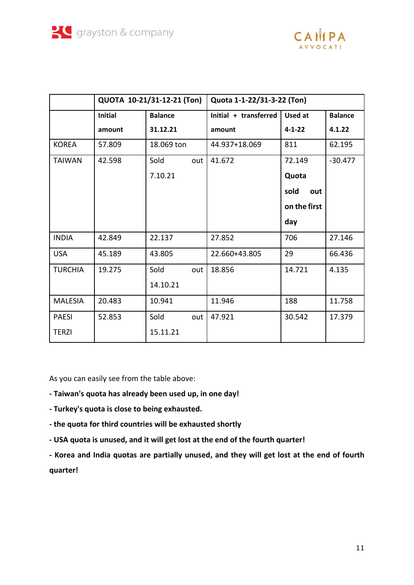

|                | QUOTA 10-21/31-12-21 (Ton) |                | Quota 1-1-22/31-3-22 (Ton) |              |                |
|----------------|----------------------------|----------------|----------------------------|--------------|----------------|
|                | <b>Initial</b>             | <b>Balance</b> | Initial + transferred      | Used at      | <b>Balance</b> |
|                | amount                     | 31.12.21       | amount                     | $4 - 1 - 22$ | 4.1.22         |
| <b>KOREA</b>   | 57.809                     | 18.069 ton     | 44.937+18.069              | 811          | 62.195         |
| <b>TAIWAN</b>  | 42.598                     | Sold<br>out    | 41.672                     | 72.149       | $-30.477$      |
|                |                            | 7.10.21        |                            | Quota        |                |
|                |                            |                |                            | sold<br>out  |                |
|                |                            |                |                            | on the first |                |
|                |                            |                |                            | day          |                |
| <b>INDIA</b>   | 42.849                     | 22.137         | 27.852                     | 706          | 27.146         |
| <b>USA</b>     | 45.189                     | 43.805         | 22.660+43.805              | 29           | 66.436         |
| <b>TURCHIA</b> | 19.275                     | Sold<br>out    | 18.856                     | 14.721       | 4.135          |
|                |                            | 14.10.21       |                            |              |                |
| <b>MALESIA</b> | 20.483                     | 10.941         | 11.946                     | 188          | 11.758         |
| <b>PAESI</b>   | 52.853                     | Sold<br>out    | 47.921                     | 30.542       | 17.379         |
| <b>TERZI</b>   |                            | 15.11.21       |                            |              |                |

As you can easily see from the table above:

- **- Taiwan's quota has already been used up, in one day!**
- **- Turkey's quota is close to being exhausted.**
- **- the quota for third countries will be exhausted shortly**
- **- USA quota is unused, and it will get lost at the end of the fourth quarter!**

**- Korea and India quotas are partially unused, and they will get lost at the end of fourth quarter!**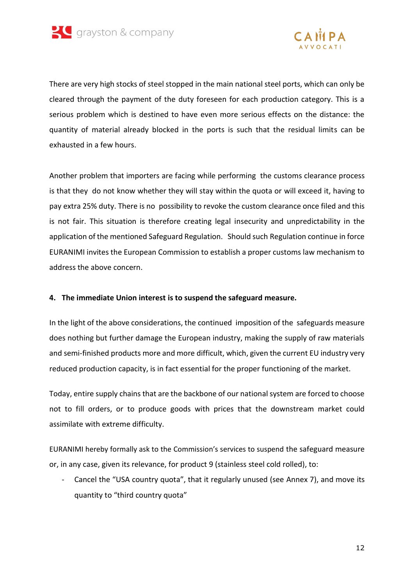



There are very high stocks of steel stopped in the main national steel ports, which can only be cleared through the payment of the duty foreseen for each production category. This is a serious problem which is destined to have even more serious effects on the distance: the quantity of material already blocked in the ports is such that the residual limits can be exhausted in a few hours.

Another problem that importers are facing while performing the customs clearance process is that they do not know whether they will stay within the quota or will exceed it, having to pay extra 25% duty. There is no possibility to revoke the custom clearance once filed and this is not fair. This situation is therefore creating legal insecurity and unpredictability in the application of the mentioned Safeguard Regulation. Should such Regulation continue in force EURANIMI invites the European Commission to establish a proper customs law mechanism to address the above concern.

### **4. The immediate Union interest is to suspend the safeguard measure.**

In the light of the above considerations, the continued imposition of the safeguards measure does nothing but further damage the European industry, making the supply of raw materials and semi-finished products more and more difficult, which, given the current EU industry very reduced production capacity, is in fact essential for the proper functioning of the market.

Today, entire supply chains that are the backbone of our national system are forced to choose not to fill orders, or to produce goods with prices that the downstream market could assimilate with extreme difficulty.

EURANIMI hereby formally ask to the Commission's services to suspend the safeguard measure or, in any case, given its relevance, for product 9 (stainless steel cold rolled), to:

- Cancel the "USA country quota", that it regularly unused (see Annex 7), and move its quantity to "third country quota"